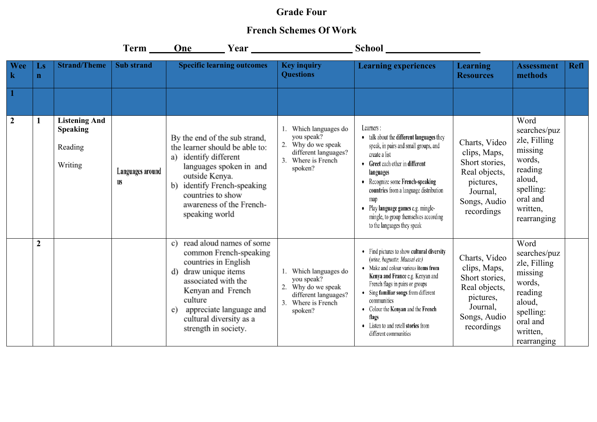## **Grade Four**

## **French Schemes Of Work**

|                    |                                       |                                                               | $Term$ <sub>_____</sub> | One                                                                                                                                                                                                                                                    |                                                                                                                 |                                                                                                                                                                                                                                                                                                                                                               |                                                                                                                         |                                                                                                                                    |             |
|--------------------|---------------------------------------|---------------------------------------------------------------|-------------------------|--------------------------------------------------------------------------------------------------------------------------------------------------------------------------------------------------------------------------------------------------------|-----------------------------------------------------------------------------------------------------------------|---------------------------------------------------------------------------------------------------------------------------------------------------------------------------------------------------------------------------------------------------------------------------------------------------------------------------------------------------------------|-------------------------------------------------------------------------------------------------------------------------|------------------------------------------------------------------------------------------------------------------------------------|-------------|
| Wee<br>$\mathbf k$ | $\mathbf{L}\mathbf{s}$<br>$\mathbf n$ | <b>Strand/Theme</b>                                           | <b>Sub</b> strand       | <b>Specific learning outcomes</b>                                                                                                                                                                                                                      | <b>Key inquiry</b><br><b>Questions</b>                                                                          | <b>Learning experiences</b>                                                                                                                                                                                                                                                                                                                                   | Learning<br><b>Resources</b>                                                                                            | <b>Assessment</b><br>methods                                                                                                       | <b>Refl</b> |
|                    |                                       |                                                               |                         |                                                                                                                                                                                                                                                        |                                                                                                                 |                                                                                                                                                                                                                                                                                                                                                               |                                                                                                                         |                                                                                                                                    |             |
| $\overline{2}$     |                                       | <b>Listening And</b><br><b>Speaking</b><br>Reading<br>Writing | Languages around<br>us  | By the end of the sub strand,<br>the learner should be able to:<br>identify different<br>a)<br>languages spoken in and<br>outside Kenya.<br>identify French-speaking<br>b)<br>countries to show<br>awareness of the French-<br>speaking world          | Which languages do<br>you speak?<br>Why do we speak<br>different languages?<br>Where is French<br>spoken?       | Learners:<br>• talk about the different languages they<br>speak, in pairs and small groups, and<br>create a list<br>Greet each other in different<br>languages<br>Recognize some French-speaking<br>countries from a language distribution<br>map<br>Play language games e.g. mingle-<br>mingle, to group themselves according<br>to the languages they speak | Charts, Video<br>clips, Maps,<br>Short stories,<br>Real objects,<br>pictures,<br>Journal,<br>Songs, Audio<br>recordings | Word<br>searches/puz<br>zle, Filling<br>missing<br>words,<br>reading<br>aloud,<br>spelling:<br>oral and<br>written,<br>rearranging |             |
|                    | $\overline{2}$                        |                                                               |                         | read aloud names of some<br>c)<br>common French-speaking<br>countries in English<br>draw unique items<br>d)<br>associated with the<br>Kenyan and French<br>culture<br>appreciate language and<br>e)<br>cultural diversity as a<br>strength in society. | Which languages do<br>you speak?<br>Why do we speak<br>different languages?<br>Where is French<br>3.<br>spoken? | • Find pictures to show cultural diversity<br>(wine, baguette, Maasai etc)<br>Make and colour various items from<br>Kenya and France e.g. Kenyan and<br>French flags in pairs or groups<br>Sing familiar songs from different<br>communities<br>• Colour the Kenyan and the French<br>flags<br>• Listen to and retell stories from<br>different communities   | Charts, Video<br>clips, Maps,<br>Short stories,<br>Real objects,<br>pictures,<br>Journal,<br>Songs, Audio<br>recordings | Word<br>searches/puz<br>zle, Filling<br>missing<br>words,<br>reading<br>aloud,<br>spelling:<br>oral and<br>written,<br>rearranging |             |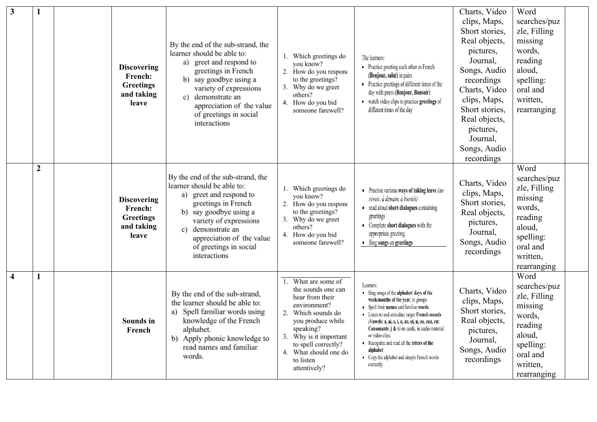| $\mathbf{3}$            | 1                | <b>Discovering</b><br><b>French:</b><br><b>Greetings</b><br>and taking<br>leave | By the end of the sub-strand, the<br>learner should be able to:<br>greet and respond to<br>a)<br>greetings in French<br>b) say goodbye using a<br>variety of expressions<br>demonstrate an<br>C)<br>appreciation of the value<br>of greetings in social<br>interactions | 1. Which greetings do<br>you know?<br>2. How do you respond<br>to the greetings?<br>3. Why do we greet<br>others?<br>4. How do you bid<br>someone farewell?                                                                              | The learners:<br>• Practice greeting each other in French<br>(Bonjour, salut) in pairs<br>• Practice greetings of different times of the<br>day with peers (Bonjour, Bonsoir)<br>• watch video clips to practice greetings of<br>different times of the day                                                                                                                                                                                   | Charts, Video<br>clips, Maps,<br>Short stories,<br>Real objects,<br>pictures,<br>Journal,<br>Songs, Audio<br>recordings<br>Charts, Video<br>clips, Maps,<br>Short stories,<br>Real objects,<br>pictures,<br>Journal,<br>Songs, Audio<br>recordings | Word<br>searches/puz<br>zle, Filling<br>missing<br>words,<br>reading<br>aloud,<br>spelling:<br>oral and<br>written,<br>rearranging |  |
|-------------------------|------------------|---------------------------------------------------------------------------------|-------------------------------------------------------------------------------------------------------------------------------------------------------------------------------------------------------------------------------------------------------------------------|------------------------------------------------------------------------------------------------------------------------------------------------------------------------------------------------------------------------------------------|-----------------------------------------------------------------------------------------------------------------------------------------------------------------------------------------------------------------------------------------------------------------------------------------------------------------------------------------------------------------------------------------------------------------------------------------------|----------------------------------------------------------------------------------------------------------------------------------------------------------------------------------------------------------------------------------------------------|------------------------------------------------------------------------------------------------------------------------------------|--|
|                         | $\boldsymbol{2}$ | <b>Discovering</b><br>French:<br><b>Greetings</b><br>and taking<br>leave        | By the end of the sub-strand, the<br>learner should be able to:<br>a) greet and respond to<br>greetings in French<br>b) say goodbye using a<br>variety of expressions<br>c) demonstrate an<br>appreciation of the value<br>of greetings in social<br>interactions       | Which greetings do<br>you know?<br>2. How do you respond<br>to the greetings?<br>3. Why do we greet<br>others?<br>4. How do you bid<br>someone farewell?                                                                                 | • Practise various ways of taking leave $(au)$<br>revoir, à demain, à bientôt)<br>• read aloud short dialogues containing<br>greetings<br>• Complete short dialogues with the<br>appropriate greeting<br>• Sing songs on greetings                                                                                                                                                                                                            | Charts, Video<br>clips, Maps,<br>Short stories,<br>Real objects,<br>pictures,<br>Journal,<br>Songs, Audio<br>recordings                                                                                                                            | Word<br>searches/puz<br>zle, Filling<br>missing<br>words,<br>reading<br>aloud,<br>spelling:<br>oral and<br>written,<br>rearranging |  |
| $\overline{\mathbf{4}}$ |                  | Sounds in<br>French                                                             | By the end of the sub-strand,<br>the learner should be able to:<br>Spell familiar words using<br>a)<br>knowledge of the French<br>alphabet.<br>b) Apply phonic knowledge to<br>read names and familiar<br>words.                                                        | What are some of<br>the sounds one can<br>hear from their<br>environment?<br>2. Which sounds do<br>you produce while<br>speaking?<br>3. Why is it important<br>to spell correctly?<br>4. What should one do<br>to listen<br>attentively? | Learners:<br>• Sing songs of the alphabet/ days of the<br>week/months of the year, in groups<br>• Spell their names and familiar words.<br>• Listen to and articulate target French sounds<br>(Vowels: a, ai, e, i, o, au, oi, u, ou, eau, eu:<br>Consonants: $j$ & $r$ ) on cards, in audio material<br>or video clips.<br>Recognize and read all the letters of the<br>alphabet<br>• Copy the alphabet and simple French words<br>correctly | Charts, Video<br>clips, Maps,<br>Short stories,<br>Real objects,<br>pictures,<br>Journal,<br>Songs, Audio<br>recordings                                                                                                                            | Word<br>searches/puz<br>zle, Filling<br>missing<br>words,<br>reading<br>aloud,<br>spelling:<br>oral and<br>written,<br>rearranging |  |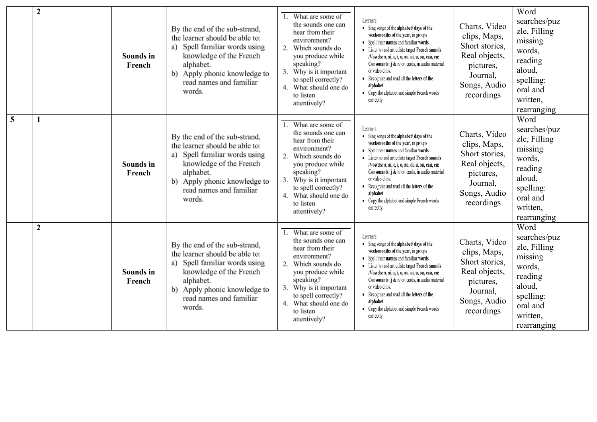|                | $\boldsymbol{2}$ | Sounds in<br>French        | By the end of the sub-strand,<br>the learner should be able to:<br>Spell familiar words using<br>a)<br>knowledge of the French<br>alphabet.<br>b) Apply phonic knowledge to<br>read names and familiar<br>words. | What are some of<br>the sounds one can<br>hear from their<br>environment?<br>2.<br>Which sounds do<br>you produce while<br>speaking?<br>Why is it important<br>to spell correctly?<br>What should one do<br>4<br>to listen<br>attentively?           | Learners:<br>• Sing songs of the alphabet/ days of the<br>week/months of the year, in groups<br>• Spell their names and familiar words.<br>• Listen to and articulate target French sounds<br>(Vowels: a, ai, e, i, o, au, oi, u, ou, eau, eu:<br><b>Consonants:</b> $j$ & $r$ ) on cards, in audio material<br>or video clips.<br>• Recognize and read all the letters of the<br>alphabet<br>• Copy the alphabet and simple French words<br>correctly | Charts, Video<br>clips, Maps,<br>Short stories,<br>Real objects,<br>pictures,<br>Journal,<br>Songs, Audio<br>recordings | Word<br>searches/puz<br>zle, Filling<br>missing<br>words,<br>reading<br>aloud,<br>spelling:<br>oral and<br>written,<br>rearranging |
|----------------|------------------|----------------------------|------------------------------------------------------------------------------------------------------------------------------------------------------------------------------------------------------------------|------------------------------------------------------------------------------------------------------------------------------------------------------------------------------------------------------------------------------------------------------|--------------------------------------------------------------------------------------------------------------------------------------------------------------------------------------------------------------------------------------------------------------------------------------------------------------------------------------------------------------------------------------------------------------------------------------------------------|-------------------------------------------------------------------------------------------------------------------------|------------------------------------------------------------------------------------------------------------------------------------|
| $\overline{5}$ | 1                | <b>Sounds</b> in<br>French | By the end of the sub-strand,<br>the learner should be able to:<br>a) Spell familiar words using<br>knowledge of the French<br>alphabet.<br>b) Apply phonic knowledge to<br>read names and familiar<br>words.    | What are some of<br>the sounds one can<br>hear from their<br>environment?<br>2.<br>Which sounds do<br>you produce while<br>speaking?<br>3.<br>Why is it important<br>to spell correctly?<br>4. What should one do<br>to listen<br>attentively?       | Learners:<br>• Sing songs of the alphabet/ days of the<br>week/months of the year, in groups<br>• Spell their names and familiar words.<br>• Listen to and articulate target French sounds<br>(Vowels: a, ai, e, i, o, au, oi, u, ou, eau, eu:<br><b>Consonants:</b> $j$ & $r$ ) on cards, in audio material<br>or video clips.<br>• Recognize and read all the letters of the<br>alphabet<br>• Copy the alphabet and simple French words<br>correctly | Charts, Video<br>clips, Maps,<br>Short stories,<br>Real objects,<br>pictures,<br>Journal,<br>Songs, Audio<br>recordings | Word<br>searches/puz<br>zle, Filling<br>missing<br>words,<br>reading<br>aloud,<br>spelling:<br>oral and<br>written,<br>rearranging |
|                | $\boldsymbol{2}$ | <b>Sounds in</b><br>French | By the end of the sub-strand,<br>the learner should be able to:<br>a) Spell familiar words using<br>knowledge of the French<br>alphabet.<br>b) Apply phonic knowledge to<br>read names and familiar<br>words.    | What are some of<br>1.<br>the sounds one can<br>hear from their<br>environment?<br>2.<br>Which sounds do<br>you produce while<br>speaking?<br>Why is it important<br>3.<br>to spell correctly?<br>4. What should one do<br>to listen<br>attentively? | Learners:<br>• Sing songs of the alphabet/ days of the<br>week/months of the year, in groups<br>• Spell their names and familiar words.<br>• Listen to and articulate target French sounds<br>/Vowels: a, ai, e, i, o, au, oi, u, ou, eau, eu:<br><b>Consonants:</b> $j$ & $r$ ) on cards, in audio material<br>or video clips.<br>• Recognize and read all the letters of the<br>alphabet<br>• Copy the alphabet and simple French words<br>correctly | Charts, Video<br>clips, Maps,<br>Short stories,<br>Real objects,<br>pictures,<br>Journal,<br>Songs, Audio<br>recordings | Word<br>searches/puz<br>zle, Filling<br>missing<br>words,<br>reading<br>aloud,<br>spelling:<br>oral and<br>written,<br>rearranging |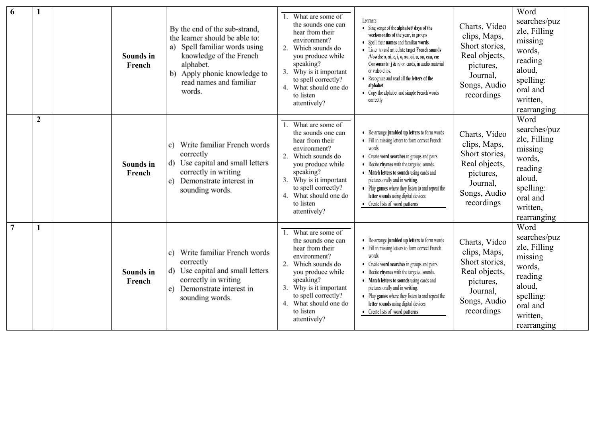| 6              |                | Sounds in<br>French | By the end of the sub-strand,<br>the learner should be able to:<br>Spell familiar words using<br>a)<br>knowledge of the French<br>alphabet.<br>b) Apply phonic knowledge to<br>read names and familiar<br>words. | What are some of<br>the sounds one can<br>hear from their<br>environment?<br>2.<br>Which sounds do<br>you produce while<br>speaking?<br>3. Why is it important<br>to spell correctly?<br>What should one do<br>to listen<br>attentively? | Learners:<br>• Sing songs of the alphabet/ days of the<br>week/months of the year, in groups<br>• Spell their names and familiar words.<br>• Listen to and articulate target French sounds<br>/Vowels: a, ai, e, i, o, au, oi, u, ou, eau, eu:<br>Consonants: $j$ & $r$ ) on cards, in audio material<br>or video clips.<br>• Recognize and read all the letters of the<br>alphabet<br>• Copy the alphabet and simple French words<br>correctly | Charts, Video<br>clips, Maps,<br>Short stories,<br>Real objects,<br>pictures,<br>Journal,<br>Songs, Audio<br>recordings | Word<br>searches/puz<br>zle, Filling<br>missing<br>words,<br>reading<br>aloud,<br>spelling:<br>oral and<br>written,<br>rearranging |
|----------------|----------------|---------------------|------------------------------------------------------------------------------------------------------------------------------------------------------------------------------------------------------------------|------------------------------------------------------------------------------------------------------------------------------------------------------------------------------------------------------------------------------------------|-------------------------------------------------------------------------------------------------------------------------------------------------------------------------------------------------------------------------------------------------------------------------------------------------------------------------------------------------------------------------------------------------------------------------------------------------|-------------------------------------------------------------------------------------------------------------------------|------------------------------------------------------------------------------------------------------------------------------------|
|                | $\overline{2}$ | Sounds in<br>French | Write familiar French words<br>c)<br>correctly<br>d) Use capital and small letters<br>correctly in writing<br>Demonstrate interest in<br>e).<br>sounding words.                                                  | What are some of<br>the sounds one can<br>hear from their<br>environment?<br>2. Which sounds do<br>you produce while<br>speaking?<br>Why is it important<br>to spell correctly?<br>What should one do<br>4.<br>to listen<br>attentively? | • Re-arrange jumbled up letters to form words<br>• Fill in missing letters to form correct French<br>words<br>• Create word searches in groups and pairs.<br>• Recite rhymes with the targeted sounds.<br>• Match letters to sounds using cards and<br>pictures orally and in writing.<br>• Play games where they listen to and repeat the<br>letter sounds using digital devices<br>• Create lists of word patterns                            | Charts, Video<br>clips, Maps,<br>Short stories,<br>Real objects,<br>pictures,<br>Journal,<br>Songs, Audio<br>recordings | Word<br>searches/puz<br>zle, Filling<br>missing<br>words,<br>reading<br>aloud,<br>spelling:<br>oral and<br>written,<br>rearranging |
| $\overline{7}$ | 1              | Sounds in<br>French | c) Write familiar French words<br>correctly<br>d) Use capital and small letters<br>correctly in writing<br>Demonstrate interest in<br>e).<br>sounding words.                                                     | What are some of<br>the sounds one can<br>hear from their<br>environment?<br>Which sounds do<br>you produce while<br>speaking?<br>Why is it important<br>to spell correctly?<br>4. What should one do<br>to listen<br>attentively?       | • Re-arrange jumbled up letters to form words<br>• Fill in missing letters to form correct French<br>words<br>• Create word searches in groups and pairs.<br>• Recite rhymes with the targeted sounds.<br>• Match letters to sounds using cards and<br>pictures orally and in writing.<br>• Play games where they listen to and repeat the<br>letter sounds using digital devices<br>• Create lists of word patterns                            | Charts, Video<br>clips, Maps,<br>Short stories,<br>Real objects,<br>pictures,<br>Journal,<br>Songs, Audio<br>recordings | Word<br>searches/puz<br>zle, Filling<br>missing<br>words,<br>reading<br>aloud,<br>spelling:<br>oral and<br>written,<br>rearranging |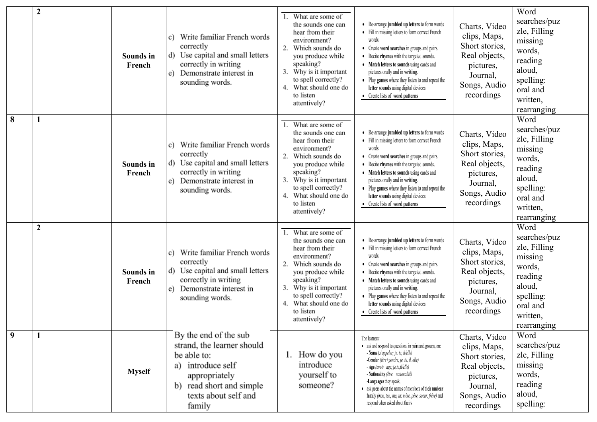|   | $\boldsymbol{2}$ | Sounds in<br>French | c) Write familiar French words<br>correctly<br>d) Use capital and small letters<br>correctly in writing<br>e) Demonstrate interest in<br>sounding words.               | What are some of<br>the sounds one can<br>hear from their<br>environment?<br>2.<br>Which sounds do<br>you produce while<br>speaking?<br>Why is it important<br>3.<br>to spell correctly?<br>What should one do<br>4.<br>to listen<br>attentively? | • Re-arrange jumbled up letters to form words<br>• Fill in missing letters to form correct French<br>words<br>• Create word searches in groups and pairs.<br>Recite rhymes with the targeted sounds.<br>• Match letters to sounds using cards and<br>pictures orally and in writing.<br>• Play games where they listen to and repeat the<br>letter sounds using digital devices<br>• Create lists of word patterns      | Charts, Video<br>clips, Maps,<br>Short stories,<br>Real objects,<br>pictures,<br>Journal,<br>Songs, Audio<br>recordings | Word<br>searches/puz<br>zle, Filling<br>missing<br>words,<br>reading<br>aloud,<br>spelling:<br>oral and<br>written,<br>rearranging |
|---|------------------|---------------------|------------------------------------------------------------------------------------------------------------------------------------------------------------------------|---------------------------------------------------------------------------------------------------------------------------------------------------------------------------------------------------------------------------------------------------|-------------------------------------------------------------------------------------------------------------------------------------------------------------------------------------------------------------------------------------------------------------------------------------------------------------------------------------------------------------------------------------------------------------------------|-------------------------------------------------------------------------------------------------------------------------|------------------------------------------------------------------------------------------------------------------------------------|
| 8 | 1                | Sounds in<br>French | Write familiar French words<br>C)<br>correctly<br>d) Use capital and small letters<br>correctly in writing<br>e) Demonstrate interest in<br>sounding words.            | What are some of<br>1.<br>the sounds one can<br>hear from their<br>environment?<br>Which sounds do<br>you produce while<br>speaking?<br>Why is it important<br>to spell correctly?<br>What should one do<br>4.<br>to listen<br>attentively?       | Re-arrange jumbled up letters to form words<br>• Fill in missing letters to form correct French<br>words<br>• Create word searches in groups and pairs.<br>Recite rhymes with the targeted sounds.<br>• Match letters to sounds using cards and<br>pictures orally and in writing.<br>• Play games where they listen to and repeat the<br>letter sounds using digital devices<br>• Create lists of word patterns        | Charts, Video<br>clips, Maps,<br>Short stories,<br>Real objects,<br>pictures,<br>Journal,<br>Songs, Audio<br>recordings | Word<br>searches/puz<br>zle, Filling<br>missing<br>words,<br>reading<br>aloud,<br>spelling:<br>oral and<br>written,<br>rearranging |
|   | $\boldsymbol{2}$ | Sounds in<br>French | Write familiar French words<br>c)<br>correctly<br>d) Use capital and small letters<br>correctly in writing<br>e) Demonstrate interest in<br>sounding words.            | What are some of<br>the sounds one can<br>hear from their<br>environment?<br>Which sounds do<br>2.<br>you produce while<br>speaking?<br>Why is it important<br>to spell correctly?<br>What should one do<br>to listen<br>attentively?             | • Re-arrange jumbled up letters to form words<br>• Fill in missing letters to form correct French<br>words<br>• Create word searches in groups and pairs.<br>Recite rhymes with the targeted sounds.<br>• Match letters to sounds using cards and<br>pictures orally and in writing.<br>• Play games where they listen to and repeat the<br>letter sounds using digital devices<br>• Create lists of word patterns      | Charts, Video<br>clips, Maps,<br>Short stories,<br>Real objects,<br>pictures,<br>Journal,<br>Songs, Audio<br>recordings | Word<br>searches/puz<br>zle, Filling<br>missing<br>words,<br>reading<br>aloud,<br>spelling:<br>oral and<br>written,<br>rearranging |
| 9 | 1                | <b>Myself</b>       | By the end of the sub<br>strand, the learner should<br>be able to:<br>a) introduce self<br>appropriately<br>b) read short and simple<br>texts about self and<br>family | How do you<br>introduce<br>yourself to<br>someone?                                                                                                                                                                                                | The learners:<br>• ask and respond to questions, in pairs and groups, on:<br>- Name (s'appeler; je, tu, il/elle)<br>-Gender (être+gendre; je, tu, il, elle)<br>- Age (avoir+age; je,tu,il/elle)<br>- Nationality (être +nationalité)<br>-Languages they speak,<br>• ask peers about the names of members of their nuclear<br>family (mon, ton; ma, ta; mère, père, soeur, frère) and<br>respond when asked about theirs | Charts, Video<br>clips, Maps,<br>Short stories,<br>Real objects,<br>pictures,<br>Journal,<br>Songs, Audio<br>recordings | Word<br>searches/puz<br>zle, Filling<br>missing<br>words,<br>reading<br>aloud,<br>spelling:                                        |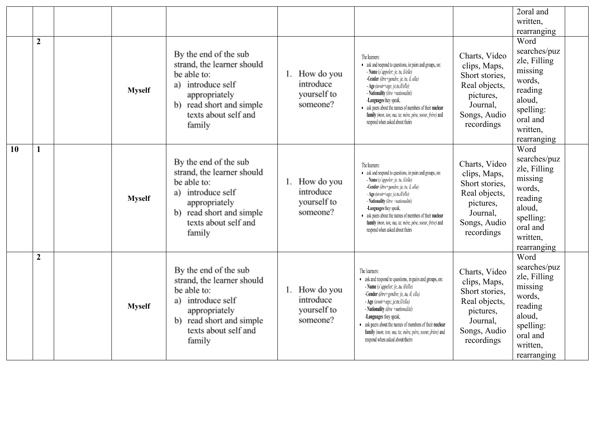|    |                |               |                                                                                                                                                                        |                                                          |                                                                                                                                                                                                                                                                                                                                                                                                                         |                                                                                                                         | 2oral and                                                                                                                          |
|----|----------------|---------------|------------------------------------------------------------------------------------------------------------------------------------------------------------------------|----------------------------------------------------------|-------------------------------------------------------------------------------------------------------------------------------------------------------------------------------------------------------------------------------------------------------------------------------------------------------------------------------------------------------------------------------------------------------------------------|-------------------------------------------------------------------------------------------------------------------------|------------------------------------------------------------------------------------------------------------------------------------|
|    |                |               |                                                                                                                                                                        |                                                          |                                                                                                                                                                                                                                                                                                                                                                                                                         |                                                                                                                         | written,                                                                                                                           |
|    |                |               |                                                                                                                                                                        |                                                          |                                                                                                                                                                                                                                                                                                                                                                                                                         |                                                                                                                         | rearranging                                                                                                                        |
|    | $\overline{2}$ | <b>Myself</b> | By the end of the sub<br>strand, the learner should<br>be able to:<br>a) introduce self<br>appropriately<br>b) read short and simple<br>texts about self and<br>family | How do you<br>1.<br>introduce<br>yourself to<br>someone? | The learners:<br>• ask and respond to questions, in pairs and groups, on:<br>- Name (s'appeler; je, tu, il/elle)<br>-Gender (être+gendre; je, tu, il, elle)<br>- Age (avoir+age; je,tu,il/elle)<br>- Nationality (être +nationalité)<br>-Languages they speak,<br>• ask peers about the names of members of their nuclear<br>family (mon, ton; ma, ta; mère, père, soeur, frère) and<br>respond when asked about theirs | Charts, Video<br>clips, Maps,<br>Short stories,<br>Real objects,<br>pictures,<br>Journal,<br>Songs, Audio<br>recordings | Word<br>searches/puz<br>zle, Filling<br>missing<br>words,<br>reading<br>aloud,<br>spelling:<br>oral and<br>written,<br>rearranging |
| 10 |                | <b>Myself</b> | By the end of the sub<br>strand, the learner should<br>be able to:<br>a) introduce self<br>appropriately<br>b) read short and simple<br>texts about self and<br>family | How do you<br>1.<br>introduce<br>yourself to<br>someone? | The learners:<br>• ask and respond to questions, in pairs and groups, on:<br>- Name (s'appeler; je, tu, il/elle)<br>-Gender (être+gendre; je, tu, il, elle)<br>- Age (avoir+age; je,tu,il/elle)<br>- Nationality (être +nationalité)<br>-Languages they speak,<br>• ask peers about the names of members of their nuclear<br>family (mon, ton; ma, ta; mère, père, soeur, frère) and<br>respond when asked about theirs | Charts, Video<br>clips, Maps,<br>Short stories,<br>Real objects,<br>pictures,<br>Journal,<br>Songs, Audio<br>recordings | Word<br>searches/puz<br>zle, Filling<br>missing<br>words,<br>reading<br>aloud,<br>spelling:<br>oral and<br>written,<br>rearranging |
|    | $\overline{2}$ | <b>Myself</b> | By the end of the sub<br>strand, the learner should<br>be able to:<br>a) introduce self<br>appropriately<br>b) read short and simple<br>texts about self and<br>family | 1. How do you<br>introduce<br>yourself to<br>someone?    | The learners:<br>• ask and respond to questions, in pairs and groups, on:<br>- Name (s'appeler; je, tu, il/elle)<br>-Gender (être+gendre; je, tu, il, elle)<br>- Age (avoir+age; je,tu,il/elle)<br>- Nationality (être +nationalité)<br>-Languages they speak,<br>• ask peers about the names of members of their nuclear<br>family (mon, ton; ma, ta; mère, père, soeur, frère) and<br>respond when asked about theirs | Charts, Video<br>clips, Maps,<br>Short stories,<br>Real objects,<br>pictures,<br>Journal,<br>Songs, Audio<br>recordings | Word<br>searches/puz<br>zle, Filling<br>missing<br>words,<br>reading<br>aloud,<br>spelling:<br>oral and<br>written,<br>rearranging |